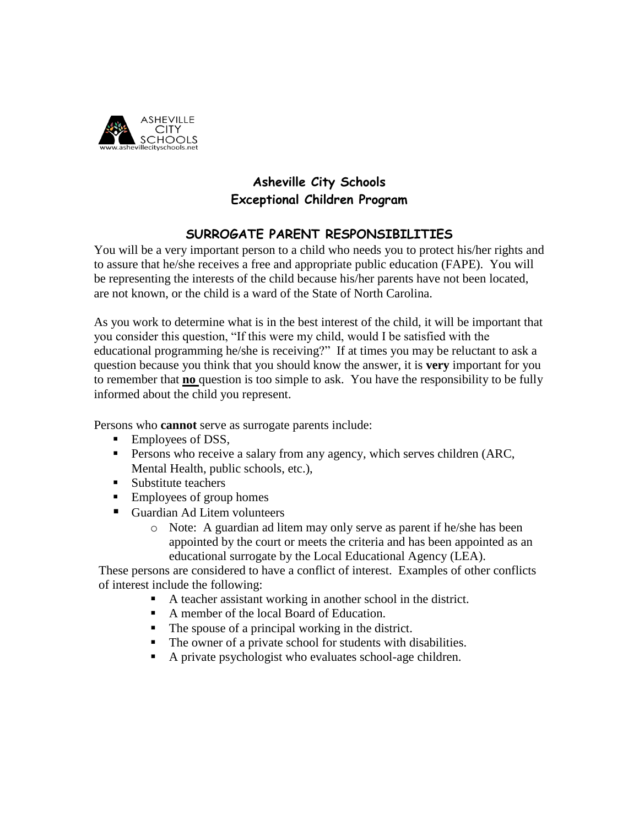

## **Asheville City Schools Exceptional Children Program**

## **SURROGATE PARENT RESPONSIBILITIES**

You will be a very important person to a child who needs you to protect his/her rights and to assure that he/she receives a free and appropriate public education (FAPE). You will be representing the interests of the child because his/her parents have not been located, are not known, or the child is a ward of the State of North Carolina.

As you work to determine what is in the best interest of the child, it will be important that you consider this question, "If this were my child, would I be satisfied with the educational programming he/she is receiving?" If at times you may be reluctant to ask a question because you think that you should know the answer, it is **very** important for you to remember that **no** question is too simple to ask. You have the responsibility to be fully informed about the child you represent.

Persons who **cannot** serve as surrogate parents include:

- Employees of DSS,
- **•** Persons who receive a salary from any agency, which serves children (ARC, Mental Health, public schools, etc.),
- Substitute teachers
- Employees of group homes
- Guardian Ad Litem volunteers
	- o Note: A guardian ad litem may only serve as parent if he/she has been appointed by the court or meets the criteria and has been appointed as an educational surrogate by the Local Educational Agency (LEA).

These persons are considered to have a conflict of interest. Examples of other conflicts of interest include the following:

- A teacher assistant working in another school in the district.
- A member of the local Board of Education.
- The spouse of a principal working in the district.
- The owner of a private school for students with disabilities.
- A private psychologist who evaluates school-age children.